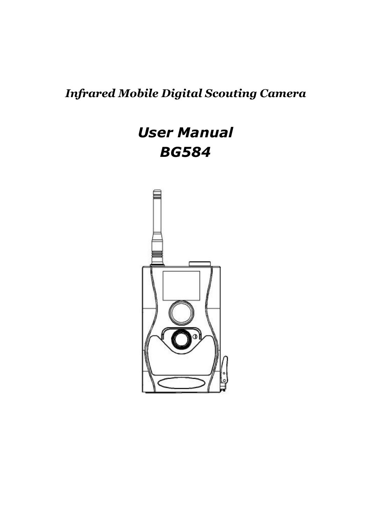#### *Infrared Mobile Digital Scouting Camera*

## *User Manual BG584*

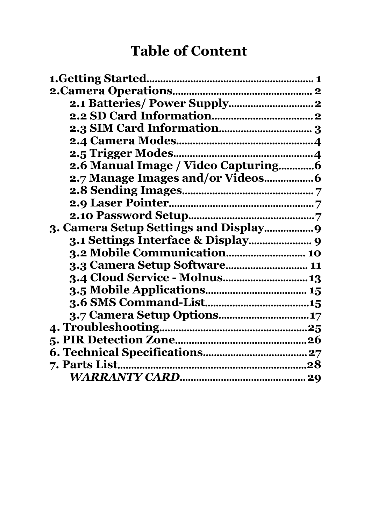## **Table of Content**

| 3.3 Camera Setup Software 11  |
|-------------------------------|
| 3.4 Cloud Service - Molnus 13 |
|                               |
|                               |
| 3.7 Camera Setup Options17    |
|                               |
|                               |
|                               |
|                               |
|                               |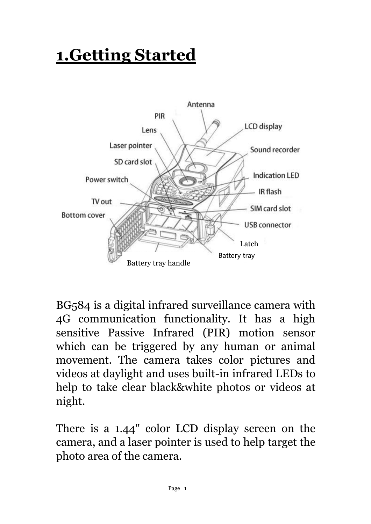# <span id="page-2-0"></span>**1.Getting Started**



BG584 is a digital infrared surveillance camera with 4G communication functionality. It has a high sensitive Passive Infrared (PIR) motion sensor which can be triggered by any human or animal movement. The camera takes color pictures and videos at daylight and uses built-in infrared LEDs to help to take clear black&white photos or videos at night.

There is a 1.44" color LCD display screen on the camera, and a laser pointer is used to help target the photo area of the camera.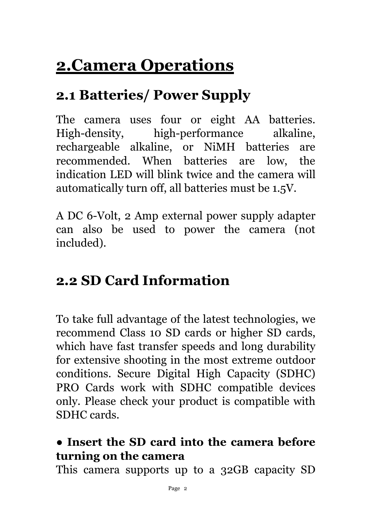# <span id="page-3-0"></span>**2.Camera Operations**

## <span id="page-3-1"></span>**2.1 Batteries/ Power Supply**

The camera uses four or eight AA batteries. High-density, high-performance alkaline, rechargeable alkaline, or NiMH batteries are recommended. When batteries are low, the indication LED will blink twice and thecamera will automatically turn off, all batteries must be 1.5V.

A DC 6-Volt, 2 Amp external power supply adapter can also be used to power the camera (not included).

### <span id="page-3-2"></span>**2.2 SD Card Information**

To take full advantage of the latest technologies, we recommend Class 10 SD cards or higher SD cards, which have fast transfer speeds and long durability for extensive shooting in the most extreme outdoor conditions. Secure Digital High Capacity (SDHC) PRO Cards work with SDHC compatible devices only. Please check your product is compatible with SDHC cards.

#### **● Insert the SD card into the camera before turning on the camera**

This camera supports up to a 32GB capacity SD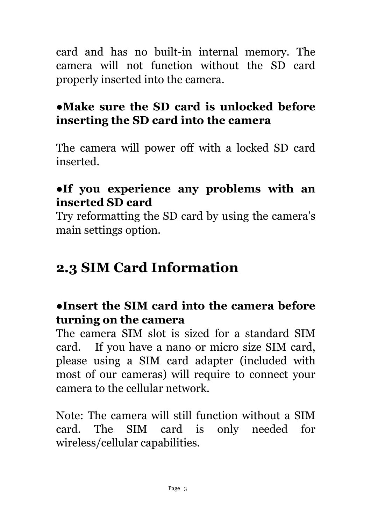card and has no built-in internal memory. The camera will not function without the SD card properly inserted into the camera.

#### **●Make sure the SD card is unlocked before inserting the SD card into the camera**

The camera will power off with a locked SD card inserted.

#### **●If you experience any problems with an inserted SD card**

Try reformatting the SD card by using the camera's main settings option.

### <span id="page-4-0"></span>**2.3 SIM Card Information**

#### **●Insert the SIM card into the camera before turning on the camera**

The camera SIM slot is sized for a standard SIM card. If you have a nano or micro size SIM card, please using a SIM card adapter (included with most of our cameras) will require to connect your camera to the cellular network.

Note: The camera will still function without a SIM card. The SIM card is only needed for wireless/cellular capabilities.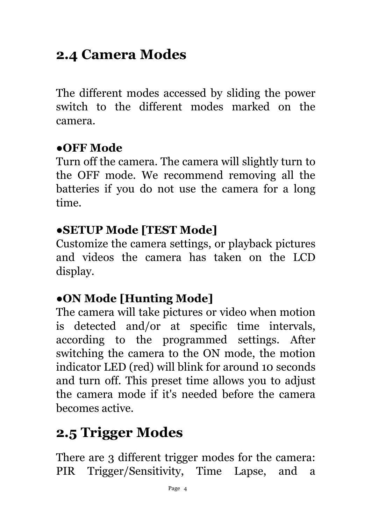### <span id="page-5-0"></span>**2.4 Camera Modes**

The different modes accessed by sliding the power switch to the different modes marked on the camera.

#### **●OFF Mode**

Turn off the camera. The camera will slightly turn to the OFF mode. We recommend removing all the batteries if you do not use the camera for a long time.

#### **●SETUP Mode [TEST Mode]**

Customize the camera settings, or playback pictures and videos the camera has taken on the LCD display.

#### **●ON Mode [Hunting Mode]**

The camera will take pictures or video when motion is detected and/or at specific time intervals, according to the programmed settings. After switching the camera to the ON mode, the motion indicator LED (red) will blink for around 10 seconds and turn off. This preset time allows you to adjust the camera mode if it's needed before the camera becomes active.

## <span id="page-5-1"></span>**2.5 Trigger Modes**

There are 3 different trigger modes for the camera: PIR Trigger/Sensitivity, Time Lapse, and a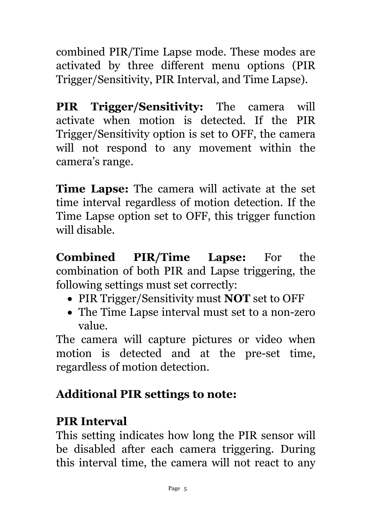combined PIR/Time Lapse mode. These modes are activated by three different menu options (PIR Trigger/Sensitivity, PIR Interval, and Time Lapse).

**PIR Trigger/Sensitivity:** The camera will activate when motion is detected. If the PIR Trigger/Sensitivity option is set to OFF, the camera will not respond to any movement within the camera's range.

**Time Lapse:** The camera will activate at the set time interval regardless of motion detection. If the Time Lapse option set to OFF, this trigger function will disable.

**Combined PIR/Time Lapse:** For the combination of both PIR and Lapse triggering, the following settings must set correctly:

- PIR Trigger/Sensitivity must **NOT** set to OFF
- The Time Lapse interval must set to a non-zero value.

The camera will capture pictures or video when motion is detected and at the pre-set time, regardless of motion detection.

#### **Additional PIR settings to note:**

#### **PIR Interval**

This setting indicates how long the PIR sensor will be disabled after each camera triggering. During this interval time, the camera will not react to any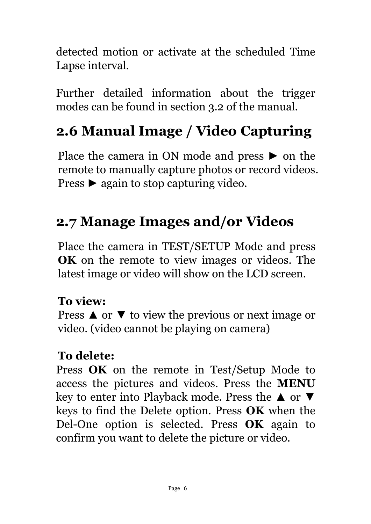detected motion or activate at the scheduled Time Lapse interval.

Further detailed information about the trigger modes can be found in section 3.2 of the manual.

## <span id="page-7-0"></span>**2.6 Manual Image / Video Capturing**

Place the camera in ON mode and press► on the remote to manually capture photos or record videos. Press ► again to stop capturing video.

### <span id="page-7-1"></span>**2.7 Manage Images and/or Videos**

Place the camera in TEST/SETUP Mode and press **OK** on the remote to view images or videos. The latest image or video will show on the LCD screen.

#### **To view:**

Press  $\triangle$  or  $\blacktriangledown$  to view the previous or next image or video. (video cannot be playing on camera)

#### **To delete:**

Press **OK** on the remote in Test/Setup Mode to access the pictures and videos. Press the **MENU** key to enter into Playback mode. Press the ▲ or ▼ keys to find the Delete option. Press OK when the Del-One option is selected. Press **OK** again to confirm you want to delete the picture or video.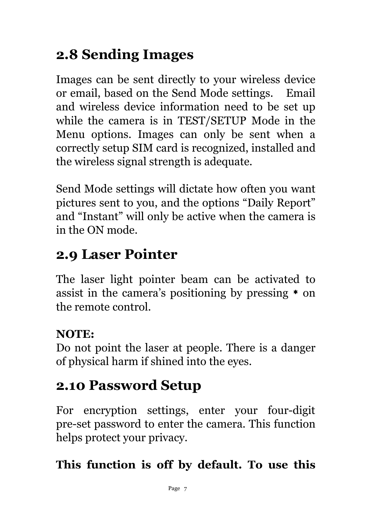## <span id="page-8-0"></span>**2.8 Sending Images**

Images can be sent directly to your wireless device or email, based on the Send Mode settings. Email and wireless device information need to be set up while the camera is in TEST/SETUP Mode in the Menu options. Images can only be sent when a correctly setup SIM card is recognized, installed and the wireless signal strength is adequate.

Send Mode settings will dictate how often you want pictures sent to you, and the options "Daily Report" and "Instant" will only be active when the camera is in the ON mode.

### <span id="page-8-1"></span>**2.9 Laser Pointer**

The laser light pointer beam can be activated to assist in the camera's positioning by pressing  $*$  on the remote control.

#### **NOTE:**

Do not point the laser at people. There is a danger of physical harm if shined into the eyes.

## <span id="page-8-2"></span>**2.10 Password Setup**

For encryption settings, enter your four-digit pre-set password to enter the camera. This function helps protect your privacy.

#### **This function is off by default. To use this**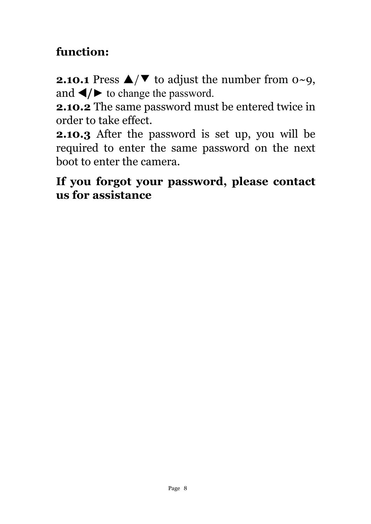#### **function:**

**2.10.1** Press  $\triangle/\blacktriangledown$  to adjust the number from 0∼9, and  $\blacktriangleleft/\blacktriangleright$  to change the password.

**2.10.2** The same password must be entered twice in order to take effect.

**2.10.3** After the password is set up, you will be required to enter the same password on the next boot to enter the camera.

#### **If you forgot your password, please contact us for assistance**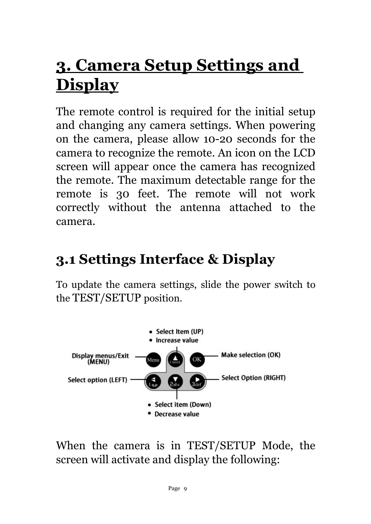# <span id="page-10-0"></span>**3. Camera Setup Settings and Display**

The remote control is required for the initial setup and changing any camera settings. When powering on the camera, please allow 10-20 seconds for the camera to recognize the remote. An icon on the LCD screen will appear once the camera has recognized the remote. The maximum detectable range for the remote is 30 feet. The remote will not work correctly without the antenna attached to the camera.

## <span id="page-10-1"></span>**3.1 Settings Interface & Display**

To update the camera settings, slide the power switch to the TEST/SETUP position.



When the camera is in TEST/SETUP Mode, the screen will activate and display the following: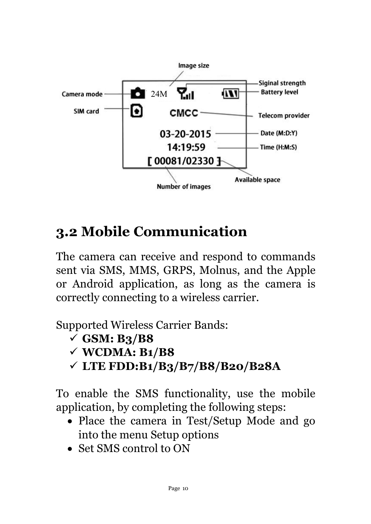

## <span id="page-11-0"></span>**3.2 Mobile Communication**

The camera can receive and respond to commands sent via SMS, MMS, GRPS, Molnus, and the Apple or Android application, as long as the camera is correctly connecting to a wireless carrier.

Supported Wireless Carrier Bands:

- **GSM: B3/B8**
- **WCDMA: B1/B8**
- **LTE FDD:B1/B3/B7/B8/B20/B28A**

To enable the SMS functionality, use the mobile application, by completing the following steps:

- Place the camera in Test/Setup Mode and go into the menu Setup options
- Set SMS control to ON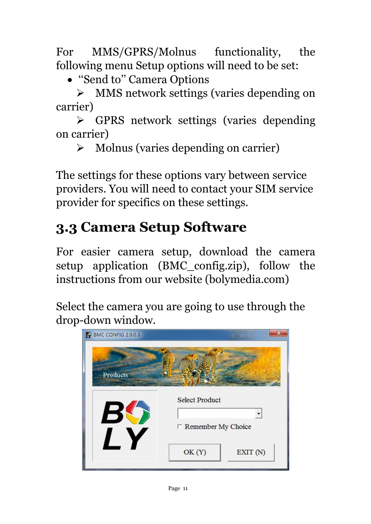For MMS/GPRS/Molnus functionality, the following menu Setup options will need to be set:

''Send to'' Camera Options

 MMS network settings (varies depending on carrier)

 GPRS network settings (varies depending on carrier)

 $\triangleright$  Molnus (varies depending on carrier)

The settings for these options vary between service providers. You will need to contact your SIM service provider for specifics on these settings.

## <span id="page-12-0"></span>**3.3 Camera Setup Software**

For easier camera setup, download the camera setup application (BMC\_config.zip), follow the instructions from our website (bolymedia.com)

Select the camera you are going to use through the drop-down window.

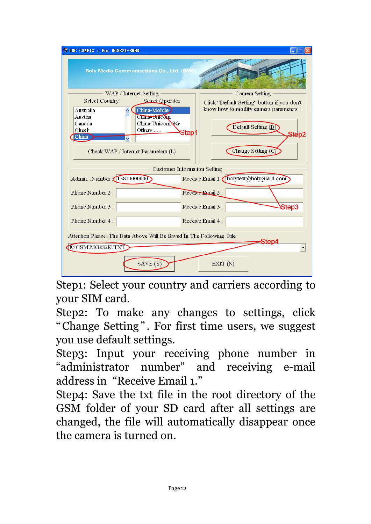| BIC CONFIG : For IG882K-8IHD                                                                |                                             |
|---------------------------------------------------------------------------------------------|---------------------------------------------|
| <b>Boly Media Communications Co., Ltd. (BMC)</b>                                            |                                             |
| WAP / Internet Setting                                                                      | Camera Setting                              |
| Select Operator<br><b>Select Country</b>                                                    | Click "Default Setting" button if you don't |
| <b>Australia</b><br>China-Mobile                                                            | know how to modify camera parameters !      |
| Austria<br>China Unicom<br>China-Unicom 3G<br>Canada<br>Chech<br>Others<br>China<br>v.      | Default Setting (D)<br>Step1<br>Step2       |
| Check WAP / Internet Parameters (L)                                                         | Change Setting (C                           |
|                                                                                             | <b>Customer Information Setting</b>         |
| AdminNumber 13800000000                                                                     | Receive Email 1 bolytest@bolyguard.com      |
| Phone Number 2:                                                                             | Receive Email 2:                            |
| Phone Number 3:                                                                             | Step3<br>Receive Email 3 :                  |
| Phone Number 4:                                                                             | Receive Email 4 :                           |
| Attention Please , The Data Above Will Be Saved In The Following File:<br>E:\GSM\MG882K.TXT | Sten∠                                       |
| SAVE $(Y)$                                                                                  | EXIT $(N)$                                  |

Step1: Select your country and carriers according to your SIM card.

Step2: To make any changes to settings, click "Change Setting". For first time users, we suggest you use default settings.

Step3: Input your receiving phone number in "administrator number" and receiving e-mail address in "Receive Email 1."

Step4: Save the txt file in the root directory of the GSM folder of your SD card after all settings are changed, the file will automatically disappear once the camera is turned on.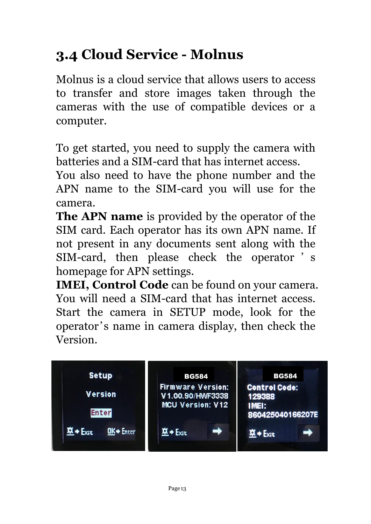## <span id="page-14-0"></span>**3.4 Cloud Service - Molnus**

Molnus is a cloud service that allows users to access to transfer and store images taken through the cameras with the use of compatible devices or a computer.

To get started, you need to supply the camera with batteries and a SIM-card that has internet access.

You also need to have the phone number and the APN name to the SIM-card you will use for the camera.

**The APN name** is provided by the operator of the SIM card. Each operator has its own APN name. If not present in any documents sent along with the SIM-card, then please check the operator ' s homepage for APN settings.

**IMEI, Control Code** can be found on your camera. You will need a SIM-card that has internet access. Start the camera in SETUP mode, look for the operator's name in camera display, then check the Version.

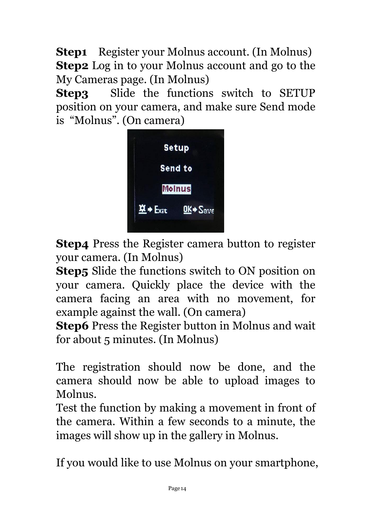**Step1** Register your Molnus account. (In Molnus) **Step2** Log in to your Molnus account and go to the My Cameras page. (In Molnus)

**Step3** Slide the functions switch to SETUP position on your camera, and make sure Send mode is "Molnus". (On camera)



**Step4** Press the Register camera button to register your camera. (In Molnus)

**Step5** Slide the functions switch to ON position on your camera. Quickly place the device with the camera facing an area with no movement, for example against the wall. (On camera)

**Step6** Press the Register button in Molnus and wait for about 5 minutes. (In Molnus)

The registration should now be done, and the camera should now be able to upload images to Molnus.

Test the function by making a movement in front of the camera. Within a few seconds to a minute, the images will show up in the gallery in Molnus.

If you would like to use Molnus on your smartphone,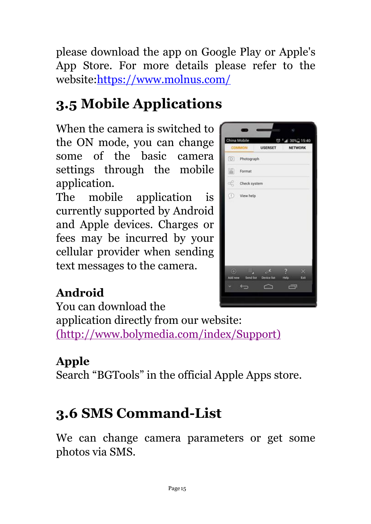please download theapp on Google Play or Apple's App Store. For more details please refer to the website:<https://www.molnus.com/>

## <span id="page-16-0"></span>**3.5 Mobile Applications**

When the camera is switched to the ON mode, you can change  $\frac{1}{\frac{Gamma}{\text{Common}}}}$  is the solution some of the basic camera  $\overline{\mathcal{O}}$  Photograph settings through the mobile  $\|\cdot\|$ application.

The mobile application is  $\blacksquare$ currently supported by Android and Apple devices. Charges or fees may be incurred by your cellular provider when sending text messages to the camera.



#### **Android**

You can download the

application directly from our website: [\(http://www.bolymedia.com/index/Support\)](http://www.bolymedia.com/index/Support)

#### **Apple**

Search "BGTools" in the official Apple Apps store.

## <span id="page-16-1"></span>**3.6 SMS Command-List**

We can change camera parameters or get some photos via SMS.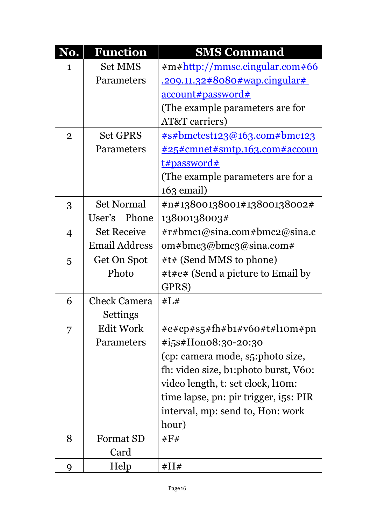| No.            | <b>Function</b>      | <b>SMS Command</b>                      |
|----------------|----------------------|-----------------------------------------|
| 1              | <b>Set MMS</b>       | $\#m\#$ http://mmsc.cingular.com#66     |
|                | Parameters           | <u>.209.11.32#8080#wap.cingular#</u>    |
|                |                      | <u>account#password#</u>                |
|                |                      | (The example parameters are for         |
|                |                      | AT&T carriers)                          |
| $\overline{2}$ | <b>Set GPRS</b>      | <u> #s#bmctest123@163.com#bmc123</u>    |
|                | Parameters           | <u> #25#cmnet#smtp.163.com#accoun</u>   |
|                |                      | <u>t#password#</u>                      |
|                |                      | (The example parameters are for a       |
|                |                      | $163$ email)                            |
| 3              | <b>Set Normal</b>    | #n#13800138001#13800138002#             |
|                | Phone<br>User's      | 13800138003#                            |
| $\overline{4}$ | <b>Set Receive</b>   | $\#r\#bmc1@sina.com\#bmc2@sina.c$       |
|                | <b>Email Address</b> | om#bmcg@bmcg@sina.com#                  |
| $\overline{5}$ | Get On Spot          | #t# (Send MMS to phone)                 |
|                | Photo                | #t#e# (Send a picture to Email by       |
|                |                      | GPRS)                                   |
| 6              | <b>Check Camera</b>  | #L#                                     |
|                | <b>Settings</b>      |                                         |
| 7              | <b>Edit Work</b>     | $\#e\#cp\#s5\#fh\#b1\#v60\#t\#l10m\#pn$ |
|                | Parameters           | #i5s#Hono8:30-20:30                     |
|                |                      | (cp: camera mode, s5:photo size,        |
|                |                      | fh: video size, b1:photo burst, V60:    |
|                |                      | video length, t: set clock, liom:       |
|                |                      | time lapse, pn: pir trigger, i5s: PIR   |
|                |                      | interval, mp: send to, Hon: work        |
|                |                      | hour)                                   |
| 8              | <b>Format SD</b>     | # $F#$                                  |
|                | Card                 |                                         |
| 9              | Help                 | #H#                                     |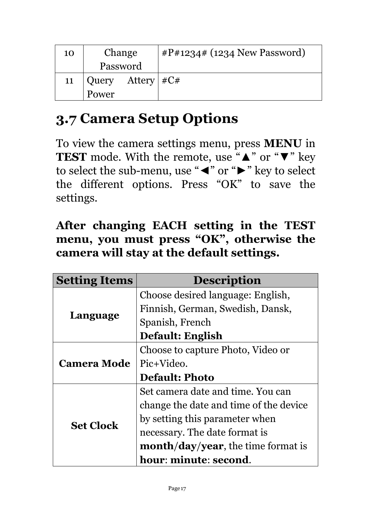| 10 | Change                   | $\#P\#1234\#$ (1234 New Password) |
|----|--------------------------|-----------------------------------|
|    | Password                 |                                   |
| 11 | Attery $\#C#$<br>  Query |                                   |
|    | Power                    |                                   |

## <span id="page-18-0"></span>**3.7 Camera Setup Options**

To view the camera settings menu, press **MENU** in **TEST** mode. With the remote, use "▲" or "▼" key to select the sub-menu, use "◄" or "►" key to select the different options. Press "OK" to save the settings.

| After changing EACH setting in the TEST   |
|-------------------------------------------|
| menu, you must press "OK", otherwise the  |
| camera will stay at the default settings. |

| <b>Setting Items</b> | <b>Description</b>                        |
|----------------------|-------------------------------------------|
|                      | Choose desired language: English,         |
|                      | Finnish, German, Swedish, Dansk,          |
| Language             | Spanish, French                           |
|                      | Default: English                          |
| <b>Camera Mode</b>   | Choose to capture Photo, Video or         |
|                      | Pic+Video.                                |
|                      | <b>Default: Photo</b>                     |
|                      | Set camera date and time. You can         |
|                      | change the date and time of the device    |
| <b>Set Clock</b>     | by setting this parameter when            |
|                      | necessary. The date format is             |
|                      | <b>month/day/year,</b> the time format is |
|                      | hour: minute: second.                     |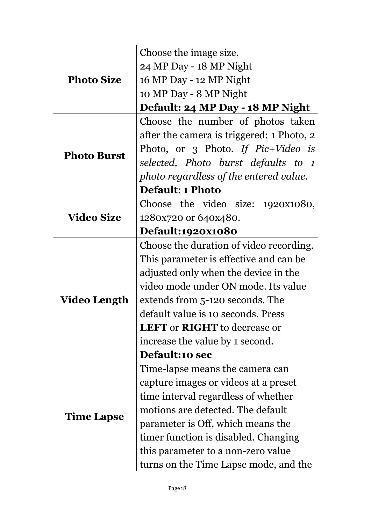|                    | Choose the image size.                     |
|--------------------|--------------------------------------------|
| <b>Photo Size</b>  | 24 MP Day - 18 MP Night                    |
|                    | 16 MP Day - 12 MP Night                    |
|                    | 10 MP Day - 8 MP Night                     |
|                    | Default: 24 MP Day - 18 MP Night           |
|                    | Choose the number of photos taken          |
|                    | after the camera is triggered: 1 Photo, 2  |
|                    | Photo, or 3 Photo. If $Pic+Video$ is       |
| <b>Photo Burst</b> | selected, Photo burst defaults to 1        |
|                    | photo regardless of the entered value.     |
|                    | <b>Default: 1 Photo</b>                    |
|                    | Choose the video size: 1920x1080,          |
| <b>Video Size</b>  | 1280x720 or 640x480.                       |
|                    | Default:1920x1080                          |
|                    | Choose the duration of video recording.    |
|                    | This parameter is effective and can be.    |
|                    | adjusted only when the device in the       |
|                    | video mode under ON mode. Its value        |
| Video Length       | extends from 5-120 seconds. The            |
|                    | default value is 10 seconds. Press         |
|                    | <b>LEFT</b> or <b>RIGHT</b> to decrease or |
|                    | increase the value by 1 second.            |
|                    | Default:10 sec                             |
|                    | Time-lapse means the camera can            |
|                    | capture images or videos at a preset       |
| <b>Time Lapse</b>  | time interval regardless of whether        |
|                    | motions are detected. The default          |
|                    | parameter is Off, which means the          |
|                    | timer function is disabled. Changing       |
|                    | this parameter to a non-zero value         |
|                    | turns on the Time Lapse mode, and the      |
|                    |                                            |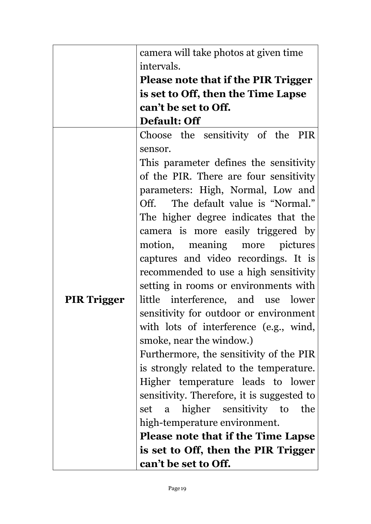|                    | camera will take photos at given time      |
|--------------------|--------------------------------------------|
|                    | intervals.                                 |
|                    | Please note that if the PIR Trigger        |
|                    | is set to Off, then the Time Lapse         |
|                    | can't be set to Off.                       |
|                    | Default: Off                               |
|                    | Choose the sensitivity of the PIR          |
|                    | sensor.                                    |
|                    | This parameter defines the sensitivity     |
|                    | of the PIR. There are four sensitivity     |
|                    | parameters: High, Normal, Low and          |
|                    | Off. The default value is "Normal."        |
|                    | The higher degree indicates that the       |
|                    | camera is more easily triggered by         |
|                    | motion, meaning more pictures              |
|                    | captures and video recordings. It is       |
|                    | recommended to use a high sensitivity      |
|                    | setting in rooms or environments with      |
| <b>PIR Trigger</b> | little interference, and use lower         |
|                    | sensitivity for outdoor or environment     |
|                    | with lots of interference (e.g., wind,     |
|                    | smoke, near the window.)                   |
|                    | Furthermore, the sensitivity of the PIR    |
|                    | is strongly related to the temperature.    |
|                    | Higher temperature leads to lower          |
|                    | sensitivity. Therefore, it is suggested to |
|                    | a higher sensitivity to<br>the<br>set      |
|                    | high-temperature environment.              |
|                    | <b>Please note that if the Time Lapse</b>  |
|                    | is set to Off, then the PIR Trigger        |
|                    | can't be set to Off.                       |
|                    |                                            |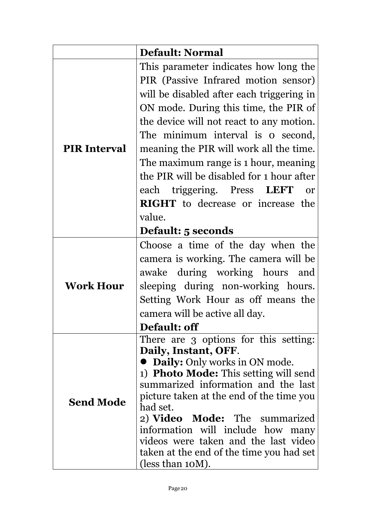|                     | <b>Default: Normal</b>                                                              |
|---------------------|-------------------------------------------------------------------------------------|
|                     | This parameter indicates how long the                                               |
|                     | PIR (Passive Infrared motion sensor)                                                |
|                     | will be disabled after each triggering in                                           |
|                     | ON mode. During this time, the PIR of                                               |
|                     | the device will not react to any motion.                                            |
|                     | The minimum interval is o second,                                                   |
| <b>PIR Interval</b> | meaning the PIR will work all the time.                                             |
|                     | The maximum range is 1 hour, meaning                                                |
|                     | the PIR will be disabled for 1 hour after                                           |
|                     | each triggering. Press LEFT<br><b>or</b>                                            |
|                     | <b>RIGHT</b> to decrease or increase the                                            |
|                     | value.                                                                              |
|                     | <b>Default: 5 seconds</b>                                                           |
|                     | Choose a time of the day when the                                                   |
|                     | camera is working. The camera will be                                               |
|                     | awake during working hours and                                                      |
| <b>Work Hour</b>    | sleeping during non-working hours.                                                  |
|                     | Setting Work Hour as off means the                                                  |
|                     | camera will be active all day.                                                      |
|                     | <b>Default: off</b>                                                                 |
|                     | There are 3 options for this setting:                                               |
|                     | Daily, Instant, OFF.                                                                |
|                     | <b>Daily:</b> Only works in ON mode.                                                |
|                     | 1) <b>Photo Mode:</b> This setting will send<br>summarized information and the last |
|                     | picture taken at the end of the time you                                            |
| <b>Send Mode</b>    | had set.                                                                            |
|                     | 2) Video Mode: The summarized                                                       |
|                     | information will include how many                                                   |
|                     | videos were taken and the last video                                                |
|                     | taken at the end of the time you had set                                            |
|                     | (less than $10M$ ).                                                                 |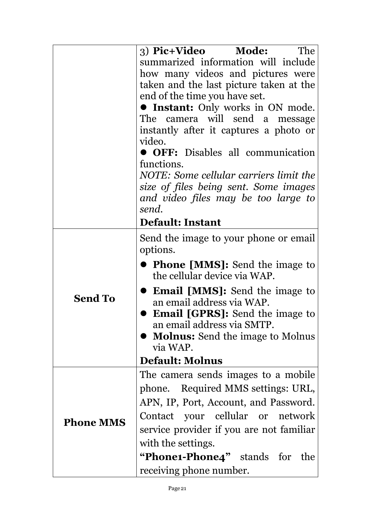|                  | 3) Pic+Video Mode:<br><b>The</b><br>summarized information will include<br>how many videos and pictures were<br>taken and the last picture taken at the<br>end of the time you have set.<br><b>• Instant:</b> Only works in ON mode.<br>The camera will send a message<br>instantly after it captures a photo or<br>video.<br>• OFF: Disables all communication<br>functions.<br>NOTE: Some cellular carriers limit the<br>size of files being sent. Some images<br>and video files may be too large to<br>send. |  |
|------------------|------------------------------------------------------------------------------------------------------------------------------------------------------------------------------------------------------------------------------------------------------------------------------------------------------------------------------------------------------------------------------------------------------------------------------------------------------------------------------------------------------------------|--|
|                  | <b>Default: Instant</b>                                                                                                                                                                                                                                                                                                                                                                                                                                                                                          |  |
|                  | Send the image to your phone or email<br>options.                                                                                                                                                                                                                                                                                                                                                                                                                                                                |  |
|                  | • Phone [MMS]: Send the image to<br>the cellular device via WAP.                                                                                                                                                                                                                                                                                                                                                                                                                                                 |  |
| <b>Send To</b>   | <b>Email [MMS]:</b> Send the image to<br>an email address via WAP.<br><b>Email [GPRS]:</b> Send the image to                                                                                                                                                                                                                                                                                                                                                                                                     |  |
|                  | an email address via SMTP.                                                                                                                                                                                                                                                                                                                                                                                                                                                                                       |  |
|                  | <b>Molnus:</b> Send the image to Molnus<br>via WAP.                                                                                                                                                                                                                                                                                                                                                                                                                                                              |  |
|                  | <b>Default: Molnus</b>                                                                                                                                                                                                                                                                                                                                                                                                                                                                                           |  |
|                  | The camera sends images to a mobile                                                                                                                                                                                                                                                                                                                                                                                                                                                                              |  |
|                  | phone. Required MMS settings: URL,<br>APN, IP, Port, Account, and Password.                                                                                                                                                                                                                                                                                                                                                                                                                                      |  |
| <b>Phone MMS</b> | Contact your cellular or network                                                                                                                                                                                                                                                                                                                                                                                                                                                                                 |  |
|                  | service provider if you are not familiar                                                                                                                                                                                                                                                                                                                                                                                                                                                                         |  |
|                  | with the settings.                                                                                                                                                                                                                                                                                                                                                                                                                                                                                               |  |
|                  | "Phone1-Phone4" stands for<br>the                                                                                                                                                                                                                                                                                                                                                                                                                                                                                |  |
|                  | receiving phone number.                                                                                                                                                                                                                                                                                                                                                                                                                                                                                          |  |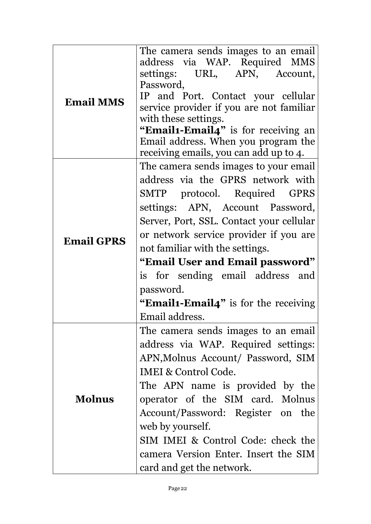| <b>Email MMS</b>  | The camera sends images to an email<br>address via WAP. Required MMS<br>settings: URL, APN,<br>Account,<br>Password,<br>IP and Port. Contact your cellular<br>service provider if you are not familiar<br>with these settings.<br>"Email1-Email4" is for receiving an<br>Email address. When you program the |
|-------------------|--------------------------------------------------------------------------------------------------------------------------------------------------------------------------------------------------------------------------------------------------------------------------------------------------------------|
|                   | receiving emails, you can add up to 4.                                                                                                                                                                                                                                                                       |
|                   | The camera sends images to your email                                                                                                                                                                                                                                                                        |
|                   | address via the GPRS network with<br><b>GPRS</b>                                                                                                                                                                                                                                                             |
|                   | SMTP protocol. Required<br>settings: APN, Account Password,                                                                                                                                                                                                                                                  |
|                   | Server, Port, SSL. Contact your cellular                                                                                                                                                                                                                                                                     |
|                   | or network service provider if you are                                                                                                                                                                                                                                                                       |
| <b>Email GPRS</b> | not familiar with the settings.                                                                                                                                                                                                                                                                              |
|                   | "Email User and Email password"                                                                                                                                                                                                                                                                              |
|                   | is for sending email address and                                                                                                                                                                                                                                                                             |
|                   | password.                                                                                                                                                                                                                                                                                                    |
|                   | <b>"Email1-Email4"</b> is for the receiving                                                                                                                                                                                                                                                                  |
|                   | Email address.<br>The camera sends images to an email                                                                                                                                                                                                                                                        |
|                   | address via WAP. Required settings:                                                                                                                                                                                                                                                                          |
|                   | APN, Molnus Account/ Password, SIM                                                                                                                                                                                                                                                                           |
|                   | IMEI & Control Code.                                                                                                                                                                                                                                                                                         |
|                   | The APN name is provided by the                                                                                                                                                                                                                                                                              |
| <b>Molnus</b>     | operator of the SIM card. Molnus                                                                                                                                                                                                                                                                             |
|                   | Account/Password: Register on the                                                                                                                                                                                                                                                                            |
|                   | web by yourself.                                                                                                                                                                                                                                                                                             |
|                   | SIM IMEI & Control Code: check the                                                                                                                                                                                                                                                                           |
|                   | camera Version Enter. Insert the SIM                                                                                                                                                                                                                                                                         |
|                   | card and get the network.                                                                                                                                                                                                                                                                                    |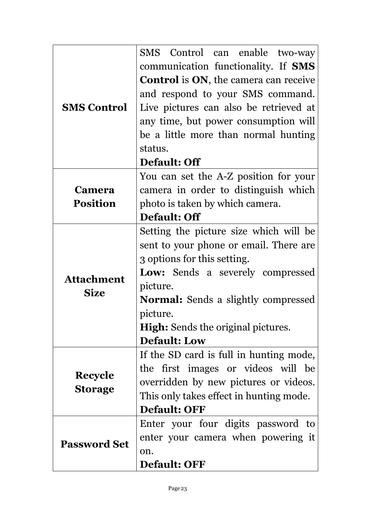|                                  | SMS Control can enable two-way                       |  |
|----------------------------------|------------------------------------------------------|--|
|                                  | communication functionality. If <b>SMS</b>           |  |
|                                  | <b>Control</b> is <b>ON</b> , the camera can receive |  |
|                                  | and respond to your SMS command.                     |  |
| <b>SMS Control</b>               | Live pictures can also be retrieved at               |  |
|                                  | any time, but power consumption will                 |  |
|                                  | be a little more than normal hunting                 |  |
|                                  | status.                                              |  |
|                                  | Default: Off                                         |  |
|                                  | You can set the A-Z position for your                |  |
| <b>Camera</b>                    | camera in order to distinguish which                 |  |
| <b>Position</b>                  | photo is taken by which camera.                      |  |
|                                  | Default: Off                                         |  |
|                                  | Setting the picture size which will be               |  |
|                                  | sent to your phone or email. There are               |  |
|                                  | 3 options for this setting.                          |  |
|                                  | <b>Low:</b> Sends a severely compressed              |  |
| <b>Attachment</b><br><b>Size</b> | picture.                                             |  |
|                                  | <b>Normal:</b> Sends a slightly compressed           |  |
|                                  | picture.                                             |  |
|                                  | <b>High:</b> Sends the original pictures.            |  |
|                                  | <b>Default: Low</b>                                  |  |
|                                  | If the SD card is full in hunting mode,              |  |
|                                  | the first images or videos will be                   |  |
| <b>Recycle</b>                   | overridden by new pictures or videos.                |  |
| <b>Storage</b>                   | This only takes effect in hunting mode.              |  |
|                                  | <b>Default: OFF</b>                                  |  |
|                                  | Enter your four digits password to                   |  |
|                                  | enter your camera when powering it                   |  |
| <b>Password Set</b>              | on.                                                  |  |
|                                  | <b>Default: OFF</b>                                  |  |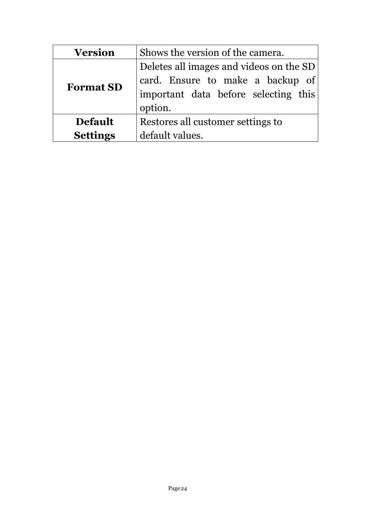| <b>Version</b>   | Shows the version of the camera.        |  |
|------------------|-----------------------------------------|--|
| <b>Format SD</b> | Deletes all images and videos on the SD |  |
|                  | card. Ensure to make a backup of        |  |
|                  | important data before selecting this    |  |
|                  | option.                                 |  |
| <b>Default</b>   | Restores all customer settings to       |  |
| <b>Settings</b>  | default values.                         |  |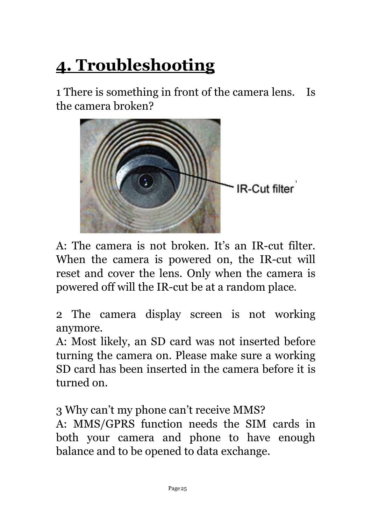# <span id="page-26-0"></span>**4. Troubleshooting**

1 There is something in front of the camera lens. Is the camera broken?



A: The camera is not broken. It's an IR-cut filter.<br>When the camera is powered on, the IR-cut will reset and cover the lens. Only when the camera is powered off will the IR-cut be at a random place.

2 The camera display screen is not working anymore.

A: Most likely, an SD card was not inserted before turning the camera on. Please make sure a working SD card has been inserted in the camera before it is turned on.

3 Why can't my phone can't receive MMS?

A: MMS/GPRS function needs the SIM cards in both your camera and phone to have enough balance and to be opened to data exchange.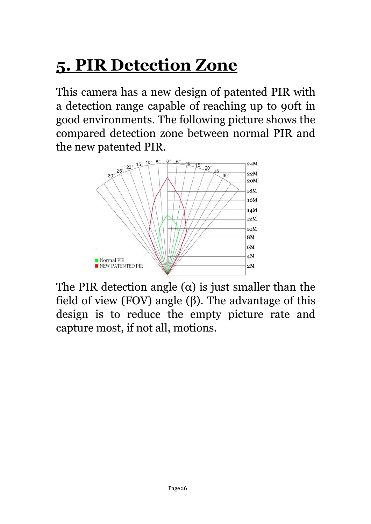# <span id="page-27-0"></span>**5. PIR Detection Zone**

This camera has a new design of patented PIR with a detection range capable of reaching up to 90ft in good environments. The following picture shows the compared detection zone between normal PIR and the new patented PIR.



The PIR detection angle  $(\alpha)$  is just smaller than the field of view (FOV) angle  $(\beta)$ . The advantage of this design is to reduce the empty picture rate and capture most, if not all, motions.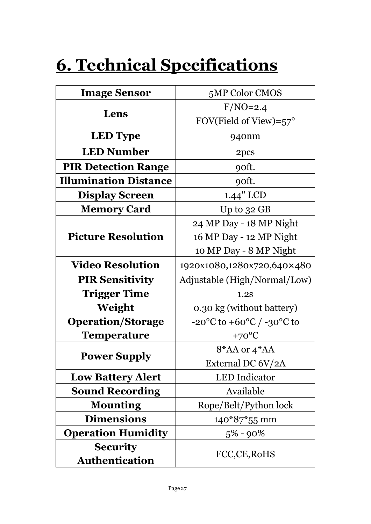# <span id="page-28-0"></span>**6. Technical Specifications**

| <b>Image Sensor</b>               | 5MP Color CMOS                                          |
|-----------------------------------|---------------------------------------------------------|
|                                   | $F/NO=2.4$                                              |
| Lens                              | FOV(Field of View)= $57^\circ$                          |
| <b>LED</b> Type                   | 940nm                                                   |
| <b>LED Number</b>                 | 2pcs                                                    |
| <b>PIR Detection Range</b>        | 90ft.                                                   |
| <b>Illumination Distance</b>      | 90ft.                                                   |
| <b>Display Screen</b>             | 1.44" LCD                                               |
| <b>Memory Card</b>                | Up to 32 GB                                             |
|                                   | 24 MP Day - 18 MP Night                                 |
| <b>Picture Resolution</b>         | 16 MP Day - 12 MP Night                                 |
|                                   | 10 MP Day - 8 MP Night                                  |
| <b>Video Resolution</b>           | 1920x1080,1280x720,640×480                              |
| <b>PIR Sensitivity</b>            | Adjustable (High/Normal/Low)                            |
| <b>Trigger Time</b>               | 1.2S                                                    |
| Weight                            | 0.30 kg (without battery)                               |
| <b>Operation/Storage</b>          | $-20^{\circ}$ C to $+60^{\circ}$ C / $-30^{\circ}$ C to |
| <b>Temperature</b>                | $+70^{\circ}C$                                          |
|                                   | $8*AA$ or $4*AA$                                        |
| <b>Power Supply</b>               | External DC 6V/2A                                       |
| <b>Low Battery Alert</b>          | <b>LED</b> Indicator                                    |
| <b>Sound Recording</b>            | Available                                               |
| <b>Mounting</b>                   | Rope/Belt/Python lock                                   |
| <b>Dimensions</b>                 | $140*87*55$ mm                                          |
| <b>Operation Humidity</b>         | $5\% - 90\%$                                            |
| <b>Security</b><br>Authentication | FCC,CE,RoHS                                             |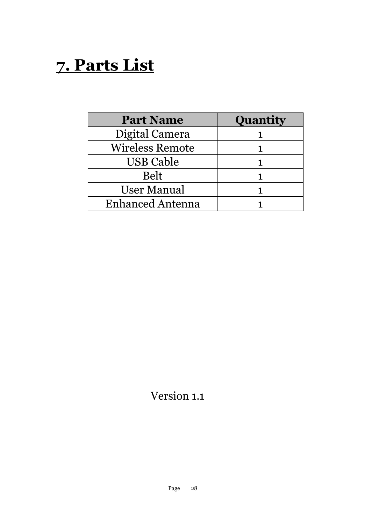## <span id="page-29-0"></span>**7. Parts List**

| <b>Part Name</b>        | Quantity |
|-------------------------|----------|
| Digital Camera          |          |
| <b>Wireless Remote</b>  |          |
| <b>USB Cable</b>        |          |
| <b>Belt</b>             |          |
| <b>User Manual</b>      |          |
| <b>Enhanced Antenna</b> |          |

#### Version 1.1